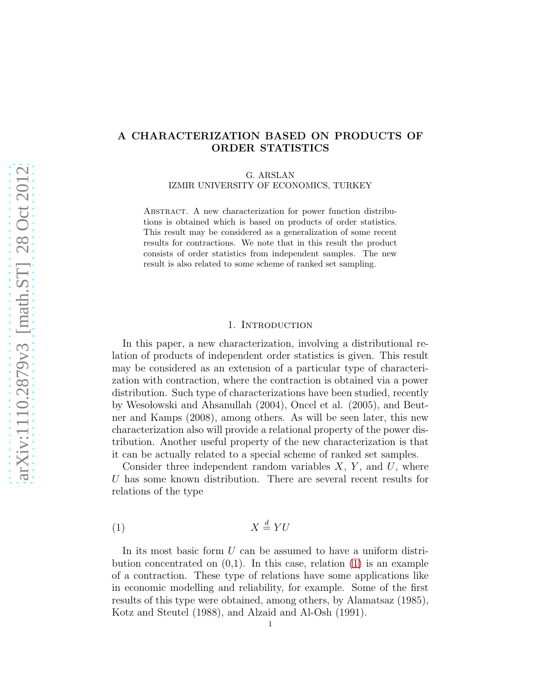# A CHARACTERIZATION BASED ON PRODUCTS OF ORDER STATISTICS

G. ARSLAN

IZMIR UNIVERSITY OF ECONOMICS, TURKEY

ABSTRACT. A new characterization for power function distributions is obtained which is based on products of order statistics. This result may be considered as a generalization of some recent results for contractions. We note that in this result the product consists of order statistics from independent samples. The new result is also related to some scheme of ranked set sampling.

#### 1. INTRODUCTION

In this paper, a new characterization, involving a distributional relation of products of independent order statistics is given. This result may be considered as an extension of a particular type of characterization with contraction, where the contraction is obtained via a power distribution. Such type of characterizations have been studied, recently by Wesolowski and Ahsanullah (2004), Oncel et al. (2005), and Beutner and Kamps (2008), among others. As will be seen later, this new characterization also will provide a relational property of the power distribution. Another useful property of the new characterization is that it can be actually related to a special scheme of ranked set samples.

Consider three independent random variables  $X, Y$ , and  $U$ , where U has some known distribution. There are several recent results for relations of the type

<span id="page-0-0"></span>
$$
(1) \t\t X \stackrel{d}{=} YU
$$

In its most basic form U can be assumed to have a uniform distribution concentrated on  $(0,1)$ . In this case, relation  $(1)$  is an example of a contraction. These type of relations have some applications like in economic modelling and reliability, for example. Some of the first results of this type were obtained, among others, by Alamatsaz (1985), Kotz and Steutel (1988), and Alzaid and Al-Osh (1991).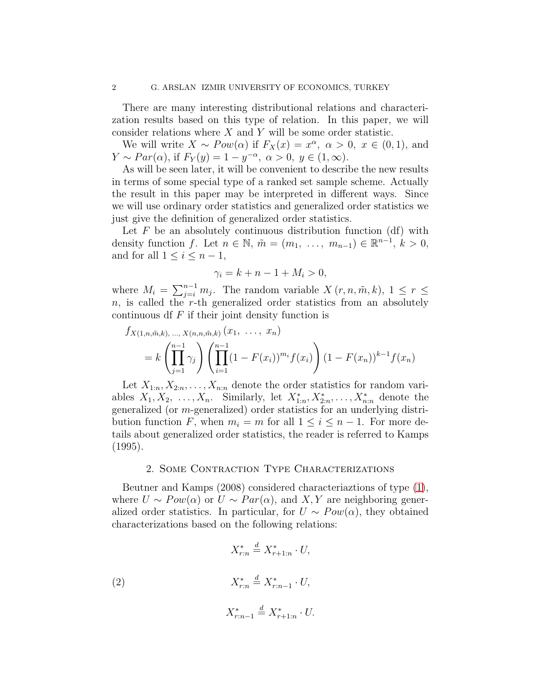There are many interesting distributional relations and characterization results based on this type of relation. In this paper, we will consider relations where  $X$  and  $Y$  will be some order statistic.

We will write  $X \sim Pow(\alpha)$  if  $F_X(x) = x^{\alpha}, \ \alpha > 0, \ x \in (0,1),$  and  $Y \sim Par(\alpha)$ , if  $F_Y(y) = 1 - y^{-\alpha}$ ,  $\alpha > 0$ ,  $y \in (1, \infty)$ .

As will be seen later, it will be convenient to describe the new results in terms of some special type of a ranked set sample scheme. Actually the result in this paper may be interpreted in different ways. Since we will use ordinary order statistics and generalized order statistics we just give the definition of generalized order statistics.

Let  $F$  be an absolutely continuous distribution function (df) with density function f. Let  $n \in \mathbb{N}$ ,  $\tilde{m} = (m_1, \ldots, m_{n-1}) \in \mathbb{R}^{n-1}$ ,  $k > 0$ , and for all  $1 \leq i \leq n-1$ ,

$$
\gamma_i = k + n - 1 + M_i > 0,
$$

where  $M_i = \sum_{j=i}^{n-1} m_j$ . The random variable  $X(r, n, \tilde{m}, k)$ ,  $1 \leq r \leq$  $n$ , is called the r-th generalized order statistics from an absolutely continuous df  $F$  if their joint density function is

$$
f_{X(1,n,\tilde{m},k), ..., X(n,n,\tilde{m},k)}(x_1, ..., x_n)
$$
  
=  $k \left( \prod_{j=1}^{n-1} \gamma_j \right) \left( \prod_{i=1}^{n-1} (1 - F(x_i))^{m_i} f(x_i) \right) (1 - F(x_n))^{k-1} f(x_n)$ 

Let  $X_{1:n}, X_{2:n}, \ldots, X_{n:n}$  denote the order statistics for random variables  $X_1, X_2, \ldots, X_n$ . Similarly, let  $X_{1:n}^*, X_{2:n}^*, \ldots, X_{n:n}^*$  denote the generalized (or m-generalized) order statistics for an underlying distribution function F, when  $m_i = m$  for all  $1 \leq i \leq n-1$ . For more details about generalized order statistics, the reader is referred to Kamps (1995).

#### 2. Some Contraction Type Characterizations

Beutner and Kamps (2008) considered characteriaztions of type [\(1\)](#page-0-0), where  $U \sim Pow(\alpha)$  or  $U \sim Par(\alpha)$ , and X, Y are neighboring generalized order statistics. In particular, for  $U \sim Pow(\alpha)$ , they obtained characterizations based on the following relations:

(2) 
$$
X_{r:n}^{*} \stackrel{d}{=} X_{r+1:n}^{*} \cdot U,
$$

$$
X_{r:n}^{*} \stackrel{d}{=} X_{r:n-1}^{*} \cdot U,
$$

$$
X_{r:n-1}^* \stackrel{d}{=} X_{r+1:n}^* \cdot U.
$$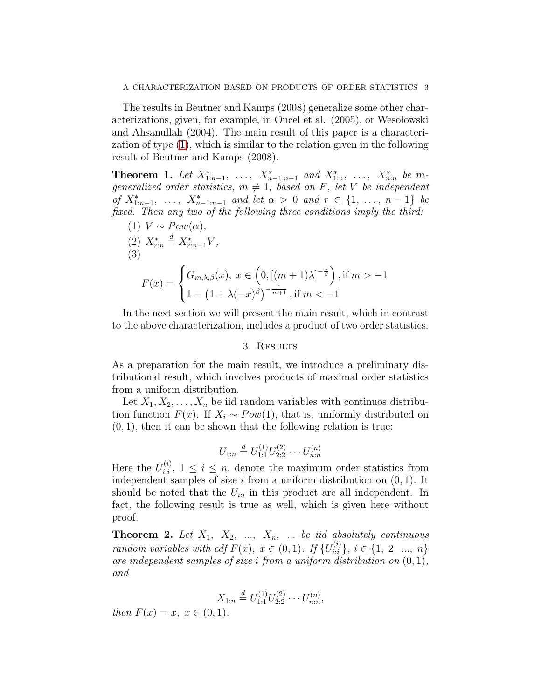The results in Beutner and Kamps (2008) generalize some other characterizations, given, for example, in Oncel et al.  $(2005)$ , or Wesolowski and Ahsanullah (2004). The main result of this paper is a characterization of type [\(1\)](#page-0-0), which is similar to the relation given in the following result of Beutner and Kamps (2008).

Theorem 1. Let  $X_{1:n-1}^*$ , ...,  $X_{n-1:n-1}^*$  and  $X_{1:n}^*$ , ...,  $X_{n:n}^*$  be m*generalized order statistics,*  $m \neq 1$ *, based on* F*, let* V *be independent of*  $X_{1:n-1}^*$ , ...,  $X_{n-1:n-1}^*$  *and let*  $\alpha > 0$  *and*  $r \in \{1, ..., n-1\}$  *be fixed. Then any two of the following three conditions imply the third:*

(1) 
$$
V \sim Pow(\alpha),
$$
  
\n(2)  $X_{r:n}^* \stackrel{d}{=} X_{r:n-1}^* V,$   
\n(3) 
$$
F(x) = \begin{cases} G_{m,\lambda,\beta}(x), & x \in \left(0, \left[(m+1)\lambda\right]^{-\frac{1}{\beta}}\right), \text{if } m > -1 \\ 1 - \left(1 + \lambda(-x)^{\beta}\right)^{-\frac{1}{m+1}}, \text{if } m < -1 \end{cases}
$$

In the next section we will present the main result, which in contrast to the above characterization, includes a product of two order statistics.

#### 3. Results

As a preparation for the main result, we introduce a preliminary distributional result, which involves products of maximal order statistics from a uniform distribution.

Let  $X_1, X_2, \ldots, X_n$  be iid random variables with continuos distribution function  $F(x)$ . If  $X_i \sim Pow(1)$ , that is, uniformly distributed on  $(0, 1)$ , then it can be shown that the following relation is true:

$$
U_{1:n} \stackrel{d}{=} U_{1:1}^{(1)} U_{2:2}^{(2)} \cdots U_{n:n}^{(n)}
$$

Here the  $U_{i:i}^{(i)}$  $i_{i,i}^{(i)}$ ,  $1 \leq i \leq n$ , denote the maximum order statistics from independent samples of size  $i$  from a uniform distribution on  $(0, 1)$ . It should be noted that the  $U_{i:i}$  in this product are all independent. In fact, the following result is true as well, which is given here without proof.

<span id="page-2-0"></span>**Theorem 2.** Let  $X_1$ ,  $X_2$ , ...,  $X_n$ , ... *be iid absolutely continuous random variables with cdf*  $F(x)$ ,  $x \in (0,1)$ *. If*  $\{U_{i,i}^{(i)}\}$  $\{i: \atop i:i}\}, i \in \{1, 2, ..., n\}$ *are independent samples of size* i *from a uniform distribution on* (0, 1)*, and*

$$
X_{1:n} \stackrel{d}{=} U_{1:1}^{(1)} U_{2:2}^{(2)} \cdots U_{n:n}^{(n)},
$$

*then*  $F(x) = x, x \in (0, 1)$ *.*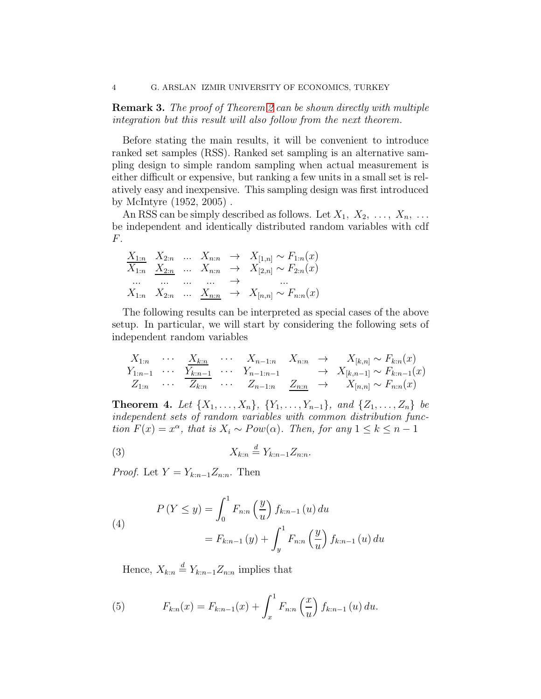Remark 3. *The proof of Theorem [2](#page-2-0) can be shown directly with multiple integration but this result will also follow from the next theorem.*

Before stating the main results, it will be convenient to introduce ranked set samples (RSS). Ranked set sampling is an alternative sampling design to simple random sampling when actual measurement is either difficult or expensive, but ranking a few units in a small set is relatively easy and inexpensive. This sampling design was first introduced by McIntyre (1952, 2005) .

An RSS can be simply described as follows. Let  $X_1, X_2, \ldots, X_n, \ldots$ be independent and identically distributed random variables with cdf F.

$$
\begin{array}{ccccccc}\nX_{1:n} & X_{2:n} & \cdots & X_{n:n} & \rightarrow & X_{[1,n]} \sim F_{1:n}(x) \\
\hline\nX_{1:n} & X_{2:n} & \cdots & X_{n:n} & \rightarrow & X_{[2,n]} \sim F_{2:n}(x) \\
\cdots & \cdots & \cdots & \cdots & \rightarrow & \cdots \\
X_{1:n} & X_{2:n} & \cdots & X_{n:n} & \rightarrow & X_{[n,n]} \sim F_{n:n}(x)\n\end{array}
$$

The following results can be interpreted as special cases of the above setup. In particular, we will start by considering the following sets of independent random variables

$$
X_{1:n} \cdots \underset{Z_{1:n}}{\overset{X_{k:n}}{\xrightarrow{\hspace{0.6cm}}} \cdots} \cdots \underset{Z_{k:n}}{\overset{X_{k:n}}{\xrightarrow{\hspace{0.6cm}}} \cdots} \cdots \underset{Z_{n-1:n}}{\overset{X_{n-1:n}}{\xrightarrow{\hspace{0.6cm}}} \cdots} \cdots \underset{Z_{n-1:n}}{\overset{X_{n-1:n}}{\xrightarrow{\hspace{0.6cm}}} \cdots} \cdots \underset{Z_{n-1:n}}{\overset{X_{n-1:n}}{\xrightarrow{\hspace{0.6cm}}} \cdots} \cdots \underset{Z_{n:n}}{\overset{Z_{n:n}}{\xrightarrow{\hspace{0.6cm}}} \cdots} \cdots \underset{Z_{n:n}}{\overset{Z_{n:n}}{\xrightarrow{\hspace{0.6cm}}} \cdots} \cdots \underset{Z_{n:n}}{\overset{Z_{n:n}}{\xrightarrow{\hspace{0.6cm}}} \cdots} \cdots
$$

**Theorem 4.** Let  $\{X_1, \ldots, X_n\}$ ,  $\{Y_1, \ldots, Y_{n-1}\}$ , and  $\{Z_1, \ldots, Z_n\}$  be *independent sets of random variables with common distribution function*  $F(x) = x^{\alpha}$ , *that is*  $X_i \sim Pow(\alpha)$ *. Then, for any*  $1 \leq k \leq n-1$ 

$$
(3) \t\t X_{k:n} \stackrel{d}{=} Y_{k:n-1} Z_{n:n}.
$$

*Proof.* Let  $Y = Y_{k:n-1}Z_{n:n}$ . Then

(4)  

$$
P(Y \le y) = \int_0^1 F_{n:n} \left(\frac{y}{u}\right) f_{k:n-1}(u) du
$$

$$
= F_{k:n-1}(y) + \int_y^1 F_{n:n} \left(\frac{y}{u}\right) f_{k:n-1}(u) du
$$

Hence,  $X_{k:n} \stackrel{d}{=} Y_{k:n-1}Z_{n:n}$  implies that

(5) 
$$
F_{k:n}(x) = F_{k:n-1}(x) + \int_x^1 F_{n:n}\left(\frac{x}{u}\right) f_{k:n-1}(u) du.
$$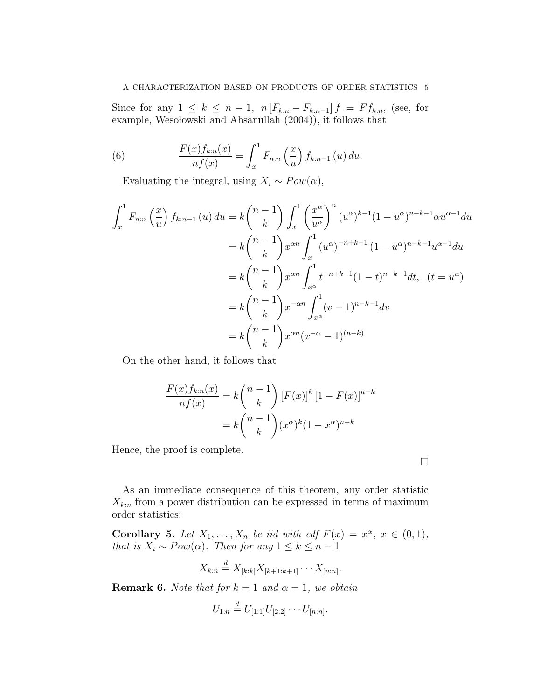### A CHARACTERIZATION BASED ON PRODUCTS OF ORDER STATISTICS 5

Since for any  $1 \leq k \leq n-1$ ,  $n [F_{k:n} - F_{k:n-1}] f = F f_{k:n}$ , (see, for example, Wesolowski and Ahsanullah  $(2004)$ , it follows that

(6) 
$$
\frac{F(x)f_{k:n}(x)}{nf(x)} = \int_x^1 F_{n:n}\left(\frac{x}{u}\right) f_{k:n-1}(u) du.
$$

Evaluating the integral, using  $X_i \sim Pow(\alpha)$ ,

$$
\int_{x}^{1} F_{n:n} \left(\frac{x}{u}\right) f_{k:n-1}(u) du = k {n-1 \choose k} \int_{x}^{1} \left(\frac{x^{\alpha}}{u^{\alpha}}\right)^{n} (u^{\alpha})^{k-1} (1 - u^{\alpha})^{n-k-1} \alpha u^{\alpha-1} du
$$
  
\n
$$
= k {n-1 \choose k} x^{\alpha n} \int_{x}^{1} (u^{\alpha})^{-n+k-1} (1 - u^{\alpha})^{n-k-1} u^{\alpha-1} du
$$
  
\n
$$
= k {n-1 \choose k} x^{\alpha n} \int_{x^{\alpha}}^{1} t^{-n+k-1} (1-t)^{n-k-1} dt, \quad (t = u^{\alpha})
$$
  
\n
$$
= k {n-1 \choose k} x^{-\alpha n} \int_{x^{\alpha}}^{1} (v-1)^{n-k-1} dv
$$
  
\n
$$
= k {n-1 \choose k} x^{\alpha n} (x^{-\alpha} - 1)^{(n-k)}
$$

On the other hand, it follows that

$$
\frac{F(x)f_{k:n}(x)}{nf(x)} = k \binom{n-1}{k} [F(x)]^k [1 - F(x)]^{n-k}
$$

$$
= k \binom{n-1}{k} (x^{\alpha})^k (1 - x^{\alpha})^{n-k}
$$

Hence, the proof is complete.

As an immediate consequence of this theorem, any order statistic  $X_{k:n}$  from a power distribution can be expressed in terms of maximum order statistics:

 $\Box$ 

<span id="page-4-0"></span>**Corollary 5.** Let  $X_1, \ldots, X_n$  be iid with cdf  $F(x) = x^{\alpha}, x \in (0,1)$ , *that is*  $X_i \sim Pow(\alpha)$ *. Then for any*  $1 \leq k \leq n-1$ 

$$
X_{k:n} \stackrel{d}{=} X_{[k:k]} X_{[k+1:k+1]} \cdots X_{[n:n]}.
$$

**Remark 6.** *Note that for*  $k = 1$  *and*  $\alpha = 1$ *, we obtain* 

$$
U_{1:n} \stackrel{d}{=} U_{[1:1]}U_{[2:2]} \cdots U_{[n:n]}.
$$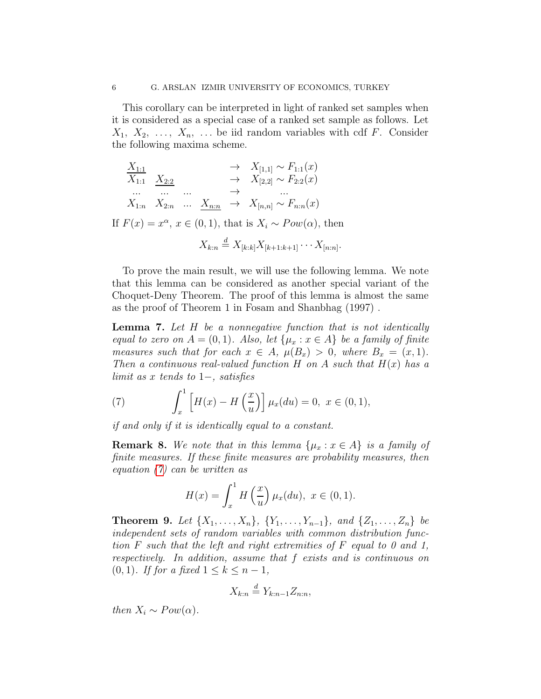This corollary can be interpreted in light of ranked set samples when it is considered as a special case of a ranked set sample as follows. Let  $X_1, X_2, \ldots, X_n, \ldots$  be iid random variables with cdf F. Consider the following maxima scheme.

$$
X_{1:1}
$$
\n
$$
X_{1:1}
$$
\n
$$
X_{2:2}
$$
\n
$$
X_{1:n}
$$
\n
$$
X_{2:n}
$$
\n
$$
X_{1:n}
$$
\n
$$
X_{2:n}
$$
\n
$$
X_{n:n}
$$
\n
$$
X_{n:n} \rightarrow X_{n:n} \sim F_{n:n}(x)
$$
\nIf  $F(x) = x^{\alpha}, x \in (0, 1)$ , that is  $X_i \sim Pow(\alpha)$ , then\n
$$
X_{k:n} \stackrel{d}{=} X_{[k:k]} X_{[k+1:k+1]} \cdots X_{[n:n]}.
$$

To prove the main result, we will use the following lemma. We note that this lemma can be considered as another special variant of the Choquet-Deny Theorem. The proof of this lemma is almost the same as the proof of Theorem 1 in Fosam and Shanbhag (1997) .

<span id="page-5-1"></span>Lemma 7. *Let* H *be a nonnegative function that is not identically equal to zero on*  $A = (0, 1)$ *. Also, let*  $\{\mu_x : x \in A\}$  *be a family of finite measures such that for each*  $x \in A$ ,  $\mu(B_x) > 0$ , where  $B_x = (x, 1)$ *. Then a continuous real-valued function*  $H$  *on*  $A$  *such that*  $H(x)$  *has a limit as* x *tends to* 1−*, satisfies*

<span id="page-5-0"></span>(7) 
$$
\int_{x}^{1} \left[ H(x) - H\left(\frac{x}{u}\right) \right] \mu_x(du) = 0, \ x \in (0, 1),
$$

*if and only if it is identically equal to a constant.*

**Remark 8.** We note that in this lemma  $\{\mu_x : x \in A\}$  is a family of *finite measures. If these finite measures are probability measures, then equation [\(7\)](#page-5-0) can be written as*

$$
H(x) = \int_x^1 H\left(\frac{x}{u}\right) \mu_x(du), \ x \in (0,1).
$$

**Theorem 9.** Let  $\{X_1, \ldots, X_n\}$ ,  $\{Y_1, \ldots, Y_{n-1}\}$ , and  $\{Z_1, \ldots, Z_n\}$  be *independent sets of random variables with common distribution function* F *such that the left and right extremities of* F *equal to 0 and 1, respectively. In addition, assume that* f *exists and is continuous on* (0, 1)*.* If for a fixed  $1 \leq k \leq n-1$ ,

$$
X_{k:n} \stackrel{d}{=} Y_{k:n-1} Z_{n:n},
$$

*then*  $X_i \sim Pow(\alpha)$ *.*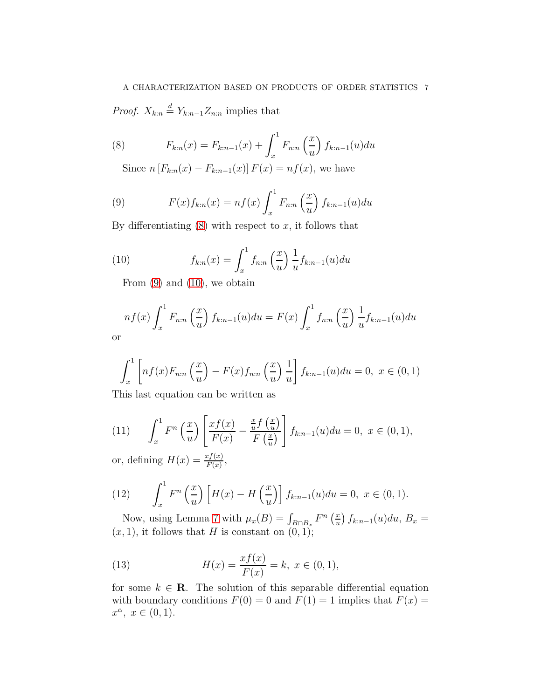*Proof.*  $X_{k:n} \stackrel{d}{=} Y_{k:n-1}Z_{n:n}$  implies that

(8) 
$$
F_{k:n}(x) = F_{k:n-1}(x) + \int_x^1 F_{n:n}\left(\frac{x}{u}\right) f_{k:n-1}(u) du
$$

<span id="page-6-0"></span>Since  $n [F_{k:n}(x) - F_{k:n-1}(x)] F(x) = nf(x)$ , we have

<span id="page-6-1"></span>(9) 
$$
F(x)f_{k:n}(x) = nf(x)\int_x^1 F_{n:n}\left(\frac{x}{u}\right)f_{k:n-1}(u)du
$$

By differentiating  $(8)$  with respect to x, it follows that

(10) 
$$
f_{k:n}(x) = \int_x^1 f_{n:n}\left(\frac{x}{u}\right) \frac{1}{u} f_{k:n-1}(u) du
$$

<span id="page-6-2"></span>From  $(9)$  and  $(10)$ , we obtain

$$
nf(x)\int_x^1 F_{n:n}\left(\frac{x}{u}\right)f_{k:n-1}(u)du = F(x)\int_x^1 f_{n:n}\left(\frac{x}{u}\right)\frac{1}{u}f_{k:n-1}(u)du
$$
or

$$
\int_{x}^{1} \left[ nf(x)F_{n:n}\left(\frac{x}{u}\right) - F(x)f_{n:n}\left(\frac{x}{u}\right) \frac{1}{u} \right] f_{k:n-1}(u) du = 0, \ x \in (0,1)
$$

This last equation can be written as

(11) 
$$
\int_x^1 F^n\left(\frac{x}{u}\right) \left[\frac{x f(x)}{F(x)} - \frac{\frac{x}{u} f\left(\frac{x}{u}\right)}{F\left(\frac{x}{u}\right)}\right] f_{k:n-1}(u) du = 0, \ x \in (0,1),
$$

or, defining  $H(x) = \frac{xf(x)}{F(x)}$ ,

(12) 
$$
\int_x^1 F^n\left(\frac{x}{u}\right) \left[H(x) - H\left(\frac{x}{u}\right)\right] f_{k:n-1}(u) du = 0, \ x \in (0,1).
$$

Now, using Lemma [7](#page-5-1) with  $\mu_x(B) = \int_{B \cap B_x} F^n\left(\frac{x}{u}\right)$  $\left(\frac{x}{u}\right)f_{k:n-1}(u)du, B_x =$  $(x, 1)$ , it follows that H is constant on  $(0, 1)$ ;

(13) 
$$
H(x) = \frac{xf(x)}{F(x)} = k, \ x \in (0, 1),
$$

for some  $k \in \mathbb{R}$ . The solution of this separable differential equation with boundary conditions  $F(0) = 0$  and  $F(1) = 1$  implies that  $F(x) =$  $x^{\alpha}, x \in (0,1).$